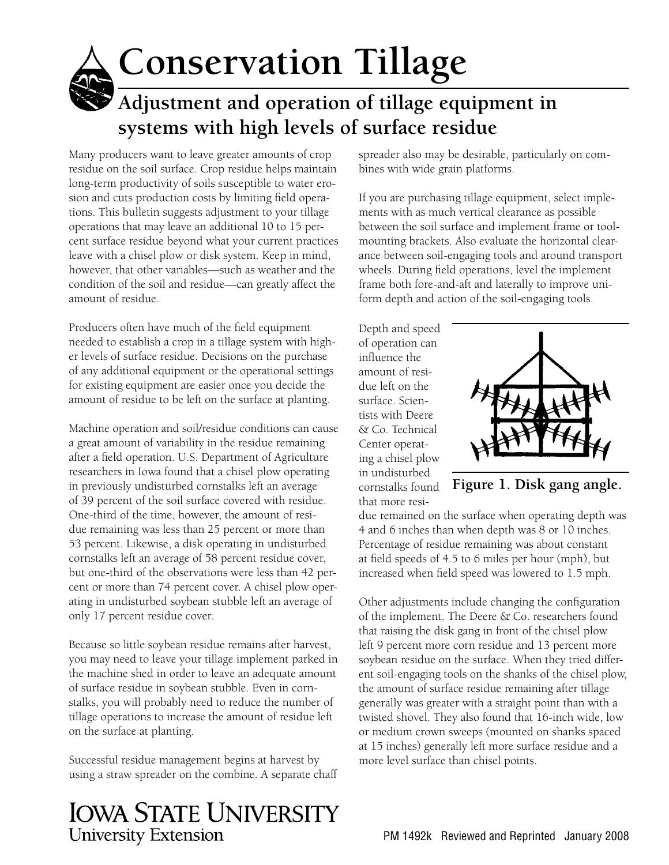# **Conservation Tillage Adjustment and operation of tillage equipment in systems with high levels of surface residue**

Many producers want to leave greater amounts of crop residue on the soil surface. Crop residue helps maintain long-term productivity of soils susceptible to water erosion and cuts production costs by limiting field operations. This bulletin suggests adjustment to your tillage operations that may leave an additional 10 to 15 percent surface residue beyond what your current practices leave with a chisel plow or disk system. Keep in mind, however, that other variables—such as weather and the condition of the soil and residue—can greatly affect the amount of residue.

Producers often have much of the field equipment needed to establish a crop in a tillage system with higher levels of surface residue. Decisions on the purchase of any additional equipment or the operational settings for existing equipment are easier once you decide the amount of residue to be left on the surface at planting.

Machine operation and soil/residue conditions can cause a great amount of variability in the residue remaining after a field operation. U.S. Department of Agriculture researchers in Iowa found that a chisel plow operating in previously undisturbed cornstalks left an average of 39 percent of the soil surface covered with residue. One-third of the time, however, the amount of residue remaining was less than 25 percent or more than 53 percent. Likewise, a disk operating in undisturbed cornstalks left an average of 58 percent residue cover, but one-third of the observations were less than 42 percent or more than 74 percent cover. A chisel plow operating in undisturbed soybean stubble left an average of only 17 percent residue cover.

Because so little soybean residue remains after harvest, you may need to leave your tillage implement parked in the machine shed in order to leave an adequate amount of surface residue in soybean stubble. Even in cornstalks, you will probably need to reduce the number of tillage operations to increase the amount of residue left on the surface at planting.

Successful residue management begins at harvest by using a straw spreader on the combine. A separate chaff

## **IOWA STATE UNIVERSITY University Extension**

spreader also may be desirable, particularly on combines with wide grain platforms.

If you are purchasing tillage equipment, select implements with as much vertical clearance as possible between the soil surface and implement frame or toolmounting brackets. Also evaluate the horizontal clearance between soil-engaging tools and around transport wheels. During field operations, level the implement frame both fore-and-aft and laterally to improve uniform depth and action of the soil-engaging tools.

Depth and speed of operation can influence the amount of residue left on the surface. Scientists with Deere & Co. Technical Center operating a chisel plow in undisturbed cornstalks found that more resi-



**Figure 1. Disk gang angle.**

due remained on the surface when operating depth was 4 and 6 inches than when depth was 8 or 10 inches. Percentage of residue remaining was about constant at field speeds of 4.5 to 6 miles per hour (mph), but increased when field speed was lowered to 1.5 mph.

Other adjustments include changing the configuration of the implement. The Deere & Co. researchers found that raising the disk gang in front of the chisel plow left 9 percent more corn residue and 13 percent more soybean residue on the surface. When they tried different soil-engaging tools on the shanks of the chisel plow, the amount of surface residue remaining after tillage generally was greater with a straight point than with a twisted shovel. They also found that 16-inch wide, low or medium crown sweeps (mounted on shanks spaced at 15 inches) generally left more surface residue and a more level surface than chisel points.